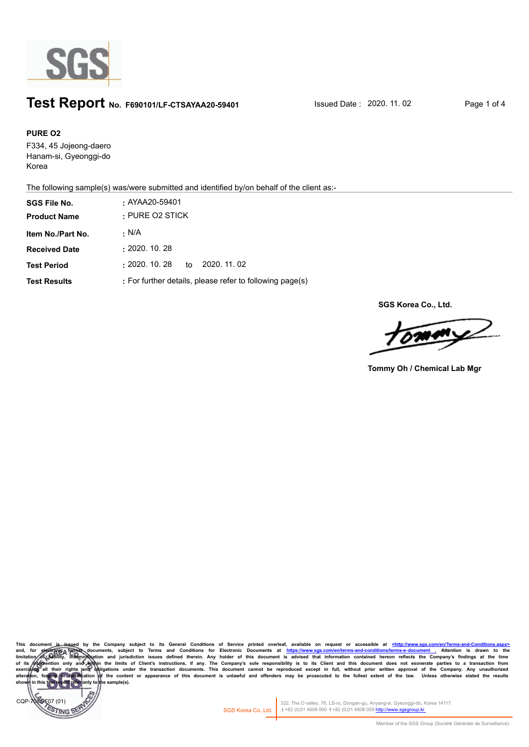

## **Test Report** No. F690101/LF-CTSAYAA20-59401 Issued Date : 2020. 11. 02 Page 1 of 4

#### **PURE O2**

F334, 45 Jojeong-daero Hanam-si, Gyeonggi-do Korea

The following sample(s) was/were submitted and identified by/on behalf of the client as:-

| <b>SGS File No.</b>  | $:$ AYAA20-59401                                         |  |  |  |
|----------------------|----------------------------------------------------------|--|--|--|
| <b>Product Name</b>  | $\cdot$ PURE O2 STICK                                    |  |  |  |
| Item No./Part No.    | · N/A                                                    |  |  |  |
| <b>Received Date</b> | : 2020.10.28                                             |  |  |  |
| <b>Test Period</b>   | $\pm 2020.$ 10. 28<br>2020. 11. 02<br>to                 |  |  |  |
| <b>Test Results</b>  | : For further details, please refer to following page(s) |  |  |  |

**SGS Korea Co., Ltd.**

 $\sqrt{M}$ 

**Tommy Oh / Chemical Lab Mgr**

This document is issued by the Company subject to its General Conditions of Service printed overleaf, available on request or accessible at <u>shttp://www.sgs.com/en/Terms-and-Conditions/taspx></u><br>limitation of prothogonal doc of its intervention only and within the limits of Client's instructions, if any. The Company's sole responsibility is to its Client and this document does not exonerate parties to a transaction from exercising all their ri sample(s).



322, The O valley, 76, LS-ro, Dongan-gu, Anyang-si, Gyeonggi-do, Korea 14117 SGS Korea Co.,Ltd. **t** +82 (0)31 4608 000 **f** +82 (0)31 4608 059 http://www.sgsgroup.kr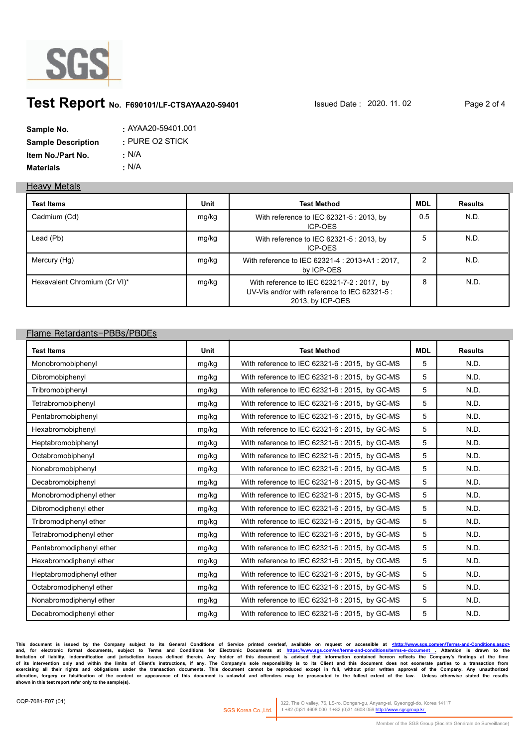

# **Test Report** No. F690101/LF-CTSAYAA20-59401 **Issued Date : 2020. 11. 02** Page 2 of 4

| Sample No.                | : AYAA20-59401.001    |
|---------------------------|-----------------------|
| <b>Sample Description</b> | $\cdot$ PURE O2 STICK |
| Item No./Part No.         | ∴ N/A                 |
| <b>Materials</b>          | • N/A                 |

#### **Heavy Metals**

| <b>Test Items</b>            | Unit  | <b>Test Method</b>                                                                                              | <b>MDL</b> | <b>Results</b> |
|------------------------------|-------|-----------------------------------------------------------------------------------------------------------------|------------|----------------|
| Cadmium (Cd)                 | mg/kg | With reference to IEC 62321-5 : 2013, by<br>ICP-OES                                                             | 0.5        | N.D.           |
| Lead (Pb)                    | mg/kg | With reference to IEC 62321-5 : 2013, by<br>ICP-OES                                                             | 5          | N.D.           |
| Mercury (Hg)                 | mg/kg | With reference to IEC 62321-4 : 2013+A1 : 2017,<br>by ICP-OES                                                   | ົ          | N.D.           |
| Hexavalent Chromium (Cr VI)* | mg/kg | With reference to IEC 62321-7-2 : 2017, by<br>UV-Vis and/or with reference to IEC 62321-5 :<br>2013, by ICP-OES | 8          | N.D.           |

#### **Flame Retardants-PBBs/PBDEs**

| <b>Test Items</b>        | <b>Unit</b> | <b>Test Method</b>                             | <b>MDL</b> | <b>Results</b> |
|--------------------------|-------------|------------------------------------------------|------------|----------------|
| Monobromobiphenyl        | mg/kg       | With reference to IEC 62321-6 : 2015, by GC-MS | 5          | N.D.           |
| Dibromobiphenyl          | mg/kg       | With reference to IEC 62321-6 : 2015, by GC-MS | 5          | N.D.           |
| Tribromobiphenyl         | mg/kg       | With reference to IEC 62321-6 : 2015, by GC-MS | 5          | N.D.           |
| Tetrabromobiphenyl       | mg/kg       | With reference to IEC 62321-6 : 2015, by GC-MS | 5          | N.D.           |
| Pentabromobiphenyl       | mg/kg       | With reference to IEC 62321-6 : 2015, by GC-MS | 5          | N.D.           |
| Hexabromobiphenyl        | mg/kg       | With reference to IEC 62321-6 : 2015, by GC-MS | 5          | N.D.           |
| Heptabromobiphenyl       | mg/kg       | With reference to IEC 62321-6 : 2015, by GC-MS | 5          | N.D.           |
| Octabromobiphenyl        | mg/kg       | With reference to IEC 62321-6 : 2015, by GC-MS | 5          | N.D.           |
| Nonabromobiphenyl        | mg/kg       | With reference to IEC 62321-6 : 2015, by GC-MS | 5          | N.D.           |
| Decabromobiphenyl        | mg/kg       | With reference to IEC 62321-6 : 2015, by GC-MS | 5          | N.D.           |
| Monobromodiphenyl ether  | mg/kg       | With reference to IEC 62321-6 : 2015, by GC-MS | 5          | N.D.           |
| Dibromodiphenyl ether    | mg/kg       | With reference to IEC 62321-6 : 2015, by GC-MS | 5          | N.D.           |
| Tribromodiphenyl ether   | mg/kg       | With reference to IEC 62321-6 : 2015, by GC-MS | 5          | N.D.           |
| Tetrabromodiphenyl ether | mg/kg       | With reference to IEC 62321-6 : 2015, by GC-MS | 5          | N.D.           |
| Pentabromodiphenyl ether | mg/kg       | With reference to IEC 62321-6 : 2015, by GC-MS | 5          | N.D.           |
| Hexabromodiphenyl ether  | mg/kg       | With reference to IEC 62321-6 : 2015, by GC-MS | 5          | N.D.           |
| Heptabromodiphenyl ether | mg/kg       | With reference to IEC 62321-6 : 2015, by GC-MS | 5          | N.D.           |
| Octabromodiphenyl ether  | mg/kg       | With reference to IEC 62321-6 : 2015, by GC-MS | 5          | N.D.           |
| Nonabromodiphenyl ether  | mg/kg       | With reference to IEC 62321-6 : 2015, by GC-MS | 5          | N.D.           |
| Decabromodiphenyl ether  | mg/kg       | With reference to IEC 62321-6 : 2015, by GC-MS | 5          | N.D.           |

This document is issued by the Company subject to its General Conditions of Service printed overleaf, available on request or accessible at <u>shttp://www.sgs.com/en/Terms-and-Conditions/taspx></u><br>limitation of liability, inde exercising all their rights and obligations under the transaction documents. This document cannot be reproduced except in full, without prior written approval of the Company. Any unauthorized<br>alteration, forgery or falsifi

322, The O valley, 76, LS-ro, Dongan-gu, Anyang-si, Gyeonggi-do, Korea 14117 SGS Korea Co.,Ltd. **t** +82 (0)31 4608 000 **f** +82 (0)31 4608 059 http://www.sgsgroup.kr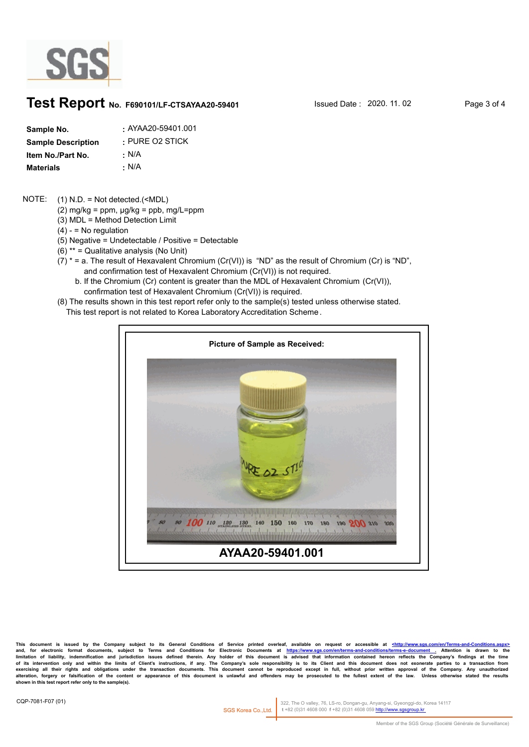

### **Test Report** No. F690101/LF-CTSAYAA20-59401 Issued Date : 2020. 11. 02 Page 3 of 4

| Sample No.                | : AYAA20-59401.001    |
|---------------------------|-----------------------|
| <b>Sample Description</b> | $\cdot$ PURE O2 STICK |
| Item No./Part No.         | : N/A                 |
| Materials                 | • N/A                 |

#### (1) N.D. = Not detected.(<MDL) NOTE:

- (2) mg/kg =  $ppm$ ,  $\mu$ g/kg =  $ppb$ , mg/L= $ppm$
- (3) MDL = Method Detection Limit
- $(4) -$  = No regulation
- (5) Negative = Undetectable / Positive = Detectable
- (6) \*\* = Qualitative analysis (No Unit)
- $(7)$  \* = a. The result of Hexavalent Chromium (Cr(VI)) is "ND" as the result of Chromium (Cr) is "ND", and confirmation test of Hexavalent Chromium (Cr(VI)) is not required.
	- b. If the Chromium (Cr) content is greater than the MDL of Hexavalent Chromium (Cr(VI)), confirmation test of Hexavalent Chromium (Cr(VI)) is required.
- (8) The results shown in this test report refer only to the sample(s) tested unless otherwise stated.
	- This test report is not related to Korea Laboratory Accreditation Scheme .



**This document is issued by the Company subject to its General Conditions of Service printed overleaf, available on request or accessible at <http://www.sgs.com/en/Terms-and-Conditions.aspx>** and, for electronic format documents, subject to Terms and Conditions for Electronic Documents at <u>https://www.sgs.com/en/terms-and-conditions/terms-e-document .</u> Attention is drawn to the<br>limitation of liability, indemnif exercising all their rights and obligations under the transaction documents. This document cannot be reproduced except in full, without prior written approval of the Company. Any unauthorized<br>alteration, forgery or falsifi

322, The O valley, 76, LS-ro, Dongan-gu, Anyang-si, Gyeonggi-do, Korea 14117 SGS Korea Co.,Ltd. t +82 (0)31 4608 000 f +82 (0)31 4608 059 ht